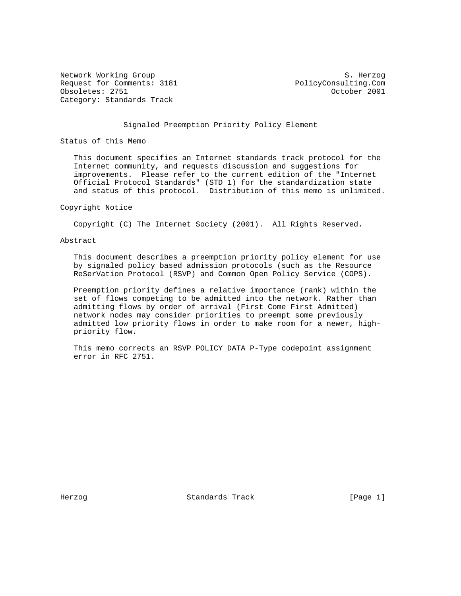Network Working Group S. Herzog Request for Comments: 3181 PolicyConsulting.Com Obsoletes: 2751 October 2001 Category: Standards Track

# Signaled Preemption Priority Policy Element

Status of this Memo

 This document specifies an Internet standards track protocol for the Internet community, and requests discussion and suggestions for improvements. Please refer to the current edition of the "Internet Official Protocol Standards" (STD 1) for the standardization state and status of this protocol. Distribution of this memo is unlimited.

#### Copyright Notice

Copyright (C) The Internet Society (2001). All Rights Reserved.

# Abstract

 This document describes a preemption priority policy element for use by signaled policy based admission protocols (such as the Resource ReSerVation Protocol (RSVP) and Common Open Policy Service (COPS).

 Preemption priority defines a relative importance (rank) within the set of flows competing to be admitted into the network. Rather than admitting flows by order of arrival (First Come First Admitted) network nodes may consider priorities to preempt some previously admitted low priority flows in order to make room for a newer, high priority flow.

 This memo corrects an RSVP POLICY\_DATA P-Type codepoint assignment error in RFC 2751.

Herzog Standards Track [Page 1]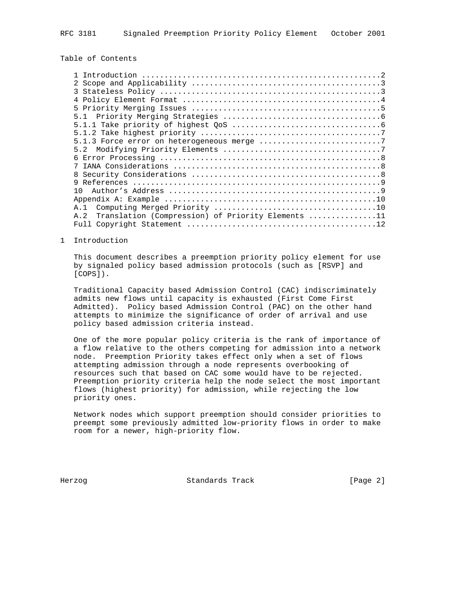# Table of Contents

| 8                                                        |  |
|----------------------------------------------------------|--|
| q                                                        |  |
|                                                          |  |
|                                                          |  |
| A. 1                                                     |  |
| Translation (Compression) of Priority Elements 11<br>A.2 |  |
|                                                          |  |
|                                                          |  |

1 Introduction

 This document describes a preemption priority policy element for use by signaled policy based admission protocols (such as [RSVP] and [COPS]).

 Traditional Capacity based Admission Control (CAC) indiscriminately admits new flows until capacity is exhausted (First Come First Admitted). Policy based Admission Control (PAC) on the other hand attempts to minimize the significance of order of arrival and use policy based admission criteria instead.

 One of the more popular policy criteria is the rank of importance of a flow relative to the others competing for admission into a network node. Preemption Priority takes effect only when a set of flows attempting admission through a node represents overbooking of resources such that based on CAC some would have to be rejected. Preemption priority criteria help the node select the most important flows (highest priority) for admission, while rejecting the low priority ones.

 Network nodes which support preemption should consider priorities to preempt some previously admitted low-priority flows in order to make room for a newer, high-priority flow.

Herzog Standards Track [Page 2]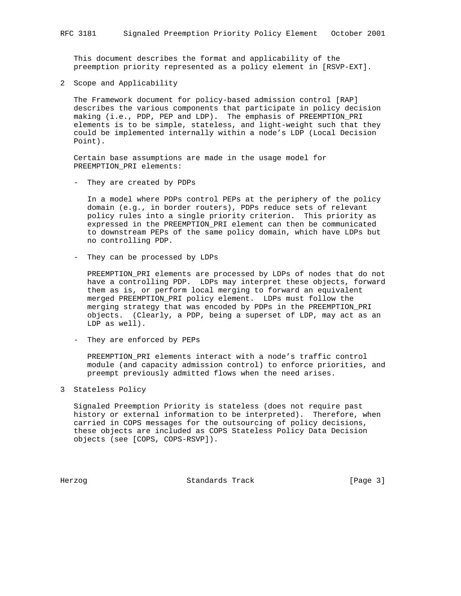This document describes the format and applicability of the preemption priority represented as a policy element in [RSVP-EXT].

2 Scope and Applicability

 The Framework document for policy-based admission control [RAP] describes the various components that participate in policy decision making (i.e., PDP, PEP and LDP). The emphasis of PREEMPTION\_PRI elements is to be simple, stateless, and light-weight such that they could be implemented internally within a node's LDP (Local Decision Point).

 Certain base assumptions are made in the usage model for PREEMPTION\_PRI elements:

- They are created by PDPs

 In a model where PDPs control PEPs at the periphery of the policy domain (e.g., in border routers), PDPs reduce sets of relevant policy rules into a single priority criterion. This priority as expressed in the PREEMPTION\_PRI element can then be communicated to downstream PEPs of the same policy domain, which have LDPs but no controlling PDP.

- They can be processed by LDPs

 PREEMPTION\_PRI elements are processed by LDPs of nodes that do not have a controlling PDP. LDPs may interpret these objects, forward them as is, or perform local merging to forward an equivalent merged PREEMPTION\_PRI policy element. LDPs must follow the merging strategy that was encoded by PDPs in the PREEMPTION\_PRI objects. (Clearly, a PDP, being a superset of LDP, may act as an LDP as well).

- They are enforced by PEPs

 PREEMPTION\_PRI elements interact with a node's traffic control module (and capacity admission control) to enforce priorities, and preempt previously admitted flows when the need arises.

3 Stateless Policy

 Signaled Preemption Priority is stateless (does not require past history or external information to be interpreted). Therefore, when carried in COPS messages for the outsourcing of policy decisions, these objects are included as COPS Stateless Policy Data Decision objects (see [COPS, COPS-RSVP]).

Herzog **Standards Track** [Page 3]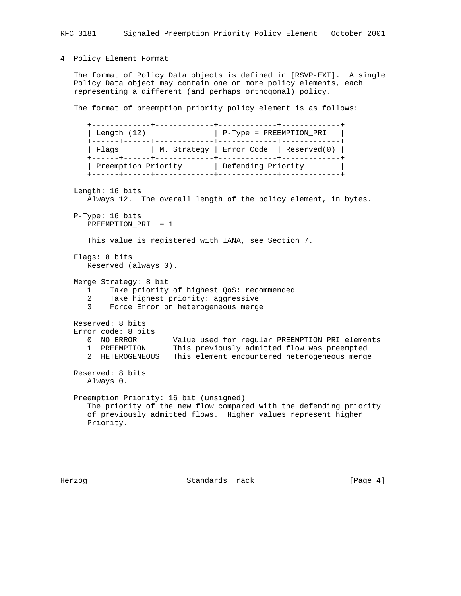4 Policy Element Format

 The format of Policy Data objects is defined in [RSVP-EXT]. A single Policy Data object may contain one or more policy elements, each representing a different (and perhaps orthogonal) policy.

The format of preemption priority policy element is as follows:

 +-------------+-------------+-------------+-------------+ | Length (12) | P-Type = PREEMPTION\_PRI | +------+------+-------------+-------------+-------------+ | Flags | M. Strategy | Error Code | Reserved(0) | +------+------+-------------+-------------+-------------+ | Preemption Priority | Defending Priority | +------+------+-------------+-------------+-------------+ Length: 16 bits Always 12. The overall length of the policy element, in bytes. P-Type: 16 bits PREEMPTION\_PRI = 1 This value is registered with IANA, see Section 7. Flags: 8 bits Reserved (always 0). Merge Strategy: 8 bit 1 Take priority of highest QoS: recommended 2 Take highest priority: aggressive 3 Force Error on heterogeneous merge Reserved: 8 bits Error code: 8 bits 0 NO\_ERROR Value used for regular PREEMPTION\_PRI elements 1 PREEMPTION This previously admitted flow was preempted 2 HETEROGENEOUS This element encountered heterogeneous merge Reserved: 8 bits Always 0. Preemption Priority: 16 bit (unsigned) The priority of the new flow compared with the defending priority of previously admitted flows. Higher values represent higher Priority.

Herzog **Standards Track** [Page 4]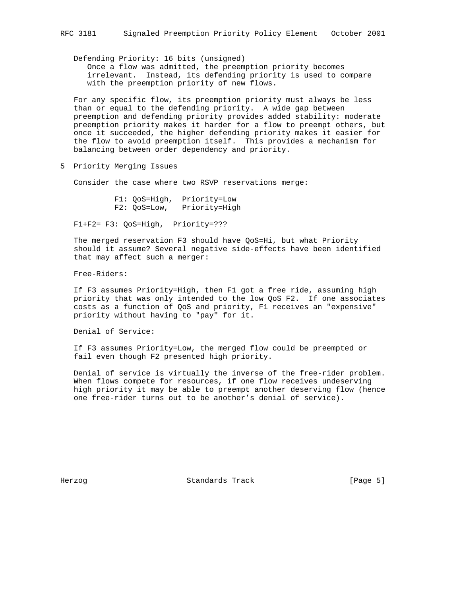Defending Priority: 16 bits (unsigned) Once a flow was admitted, the preemption priority becomes irrelevant. Instead, its defending priority is used to compare with the preemption priority of new flows.

 For any specific flow, its preemption priority must always be less than or equal to the defending priority. A wide gap between preemption and defending priority provides added stability: moderate preemption priority makes it harder for a flow to preempt others, but once it succeeded, the higher defending priority makes it easier for the flow to avoid preemption itself. This provides a mechanism for balancing between order dependency and priority.

5 Priority Merging Issues

Consider the case where two RSVP reservations merge:

 F1: QoS=High, Priority=Low F2: QoS=Low, Priority=High

F1+F2= F3: QoS=High, Priority=???

 The merged reservation F3 should have QoS=Hi, but what Priority should it assume? Several negative side-effects have been identified that may affect such a merger:

Free-Riders:

 If F3 assumes Priority=High, then F1 got a free ride, assuming high priority that was only intended to the low QoS F2. If one associates costs as a function of QoS and priority, F1 receives an "expensive" priority without having to "pay" for it.

Denial of Service:

 If F3 assumes Priority=Low, the merged flow could be preempted or fail even though F2 presented high priority.

 Denial of service is virtually the inverse of the free-rider problem. When flows compete for resources, if one flow receives undeserving high priority it may be able to preempt another deserving flow (hence one free-rider turns out to be another's denial of service).

Herzog **Standards Track** [Page 5]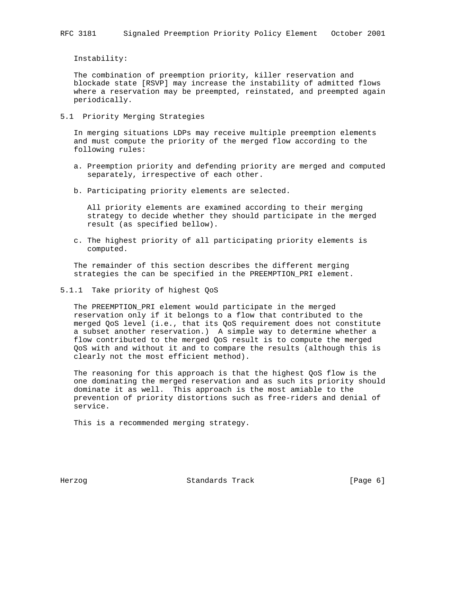Instability:

 The combination of preemption priority, killer reservation and blockade state [RSVP] may increase the instability of admitted flows where a reservation may be preempted, reinstated, and preempted again periodically.

5.1 Priority Merging Strategies

 In merging situations LDPs may receive multiple preemption elements and must compute the priority of the merged flow according to the following rules:

- a. Preemption priority and defending priority are merged and computed separately, irrespective of each other.
- b. Participating priority elements are selected.

 All priority elements are examined according to their merging strategy to decide whether they should participate in the merged result (as specified bellow).

 c. The highest priority of all participating priority elements is computed.

 The remainder of this section describes the different merging strategies the can be specified in the PREEMPTION\_PRI element.

5.1.1 Take priority of highest QoS

 The PREEMPTION\_PRI element would participate in the merged reservation only if it belongs to a flow that contributed to the merged QoS level (i.e., that its QoS requirement does not constitute a subset another reservation.) A simple way to determine whether a flow contributed to the merged QoS result is to compute the merged QoS with and without it and to compare the results (although this is clearly not the most efficient method).

 The reasoning for this approach is that the highest QoS flow is the one dominating the merged reservation and as such its priority should dominate it as well. This approach is the most amiable to the prevention of priority distortions such as free-riders and denial of service.

This is a recommended merging strategy.

Herzog Standards Track [Page 6]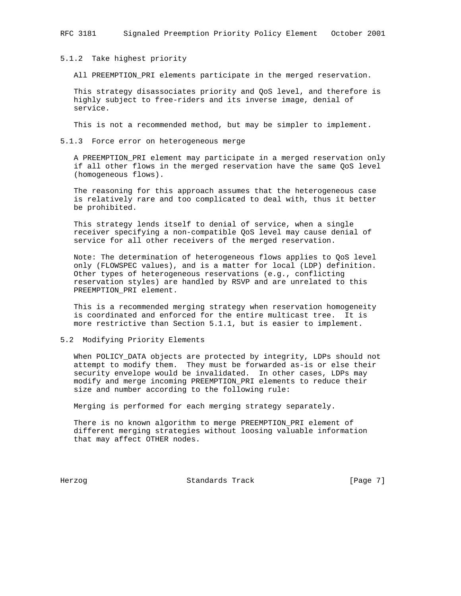5.1.2 Take highest priority

All PREEMPTION\_PRI elements participate in the merged reservation.

 This strategy disassociates priority and QoS level, and therefore is highly subject to free-riders and its inverse image, denial of service.

This is not a recommended method, but may be simpler to implement.

#### 5.1.3 Force error on heterogeneous merge

 A PREEMPTION\_PRI element may participate in a merged reservation only if all other flows in the merged reservation have the same QoS level (homogeneous flows).

 The reasoning for this approach assumes that the heterogeneous case is relatively rare and too complicated to deal with, thus it better be prohibited.

 This strategy lends itself to denial of service, when a single receiver specifying a non-compatible QoS level may cause denial of service for all other receivers of the merged reservation.

 Note: The determination of heterogeneous flows applies to QoS level only (FLOWSPEC values), and is a matter for local (LDP) definition. Other types of heterogeneous reservations (e.g., conflicting reservation styles) are handled by RSVP and are unrelated to this PREEMPTION\_PRI element.

 This is a recommended merging strategy when reservation homogeneity is coordinated and enforced for the entire multicast tree. It is more restrictive than Section 5.1.1, but is easier to implement.

# 5.2 Modifying Priority Elements

 When POLICY\_DATA objects are protected by integrity, LDPs should not attempt to modify them. They must be forwarded as-is or else their security envelope would be invalidated. In other cases, LDPs may modify and merge incoming PREEMPTION\_PRI elements to reduce their size and number according to the following rule:

Merging is performed for each merging strategy separately.

 There is no known algorithm to merge PREEMPTION\_PRI element of different merging strategies without loosing valuable information that may affect OTHER nodes.

Herzog Standards Track [Page 7]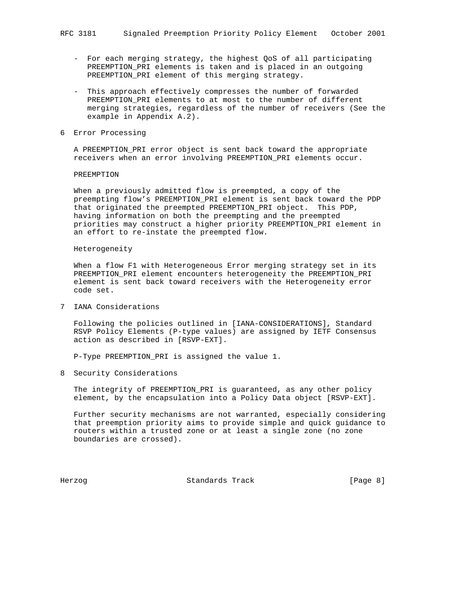- For each merging strategy, the highest QoS of all participating PREEMPTION\_PRI elements is taken and is placed in an outgoing PREEMPTION\_PRI element of this merging strategy.
- This approach effectively compresses the number of forwarded PREEMPTION\_PRI elements to at most to the number of different merging strategies, regardless of the number of receivers (See the example in Appendix A.2).
- 6 Error Processing

 A PREEMPTION\_PRI error object is sent back toward the appropriate receivers when an error involving PREEMPTION\_PRI elements occur.

#### PREEMPTION

 When a previously admitted flow is preempted, a copy of the preempting flow's PREEMPTION\_PRI element is sent back toward the PDP that originated the preempted PREEMPTION\_PRI object. This PDP, having information on both the preempting and the preempted priorities may construct a higher priority PREEMPTION\_PRI element in an effort to re-instate the preempted flow.

# Heterogeneity

 When a flow F1 with Heterogeneous Error merging strategy set in its PREEMPTION\_PRI element encounters heterogeneity the PREEMPTION\_PRI element is sent back toward receivers with the Heterogeneity error code set.

7 IANA Considerations

 Following the policies outlined in [IANA-CONSIDERATIONS], Standard RSVP Policy Elements (P-type values) are assigned by IETF Consensus action as described in [RSVP-EXT].

P-Type PREEMPTION\_PRI is assigned the value 1.

8 Security Considerations

 The integrity of PREEMPTION\_PRI is guaranteed, as any other policy element, by the encapsulation into a Policy Data object [RSVP-EXT].

 Further security mechanisms are not warranted, especially considering that preemption priority aims to provide simple and quick guidance to routers within a trusted zone or at least a single zone (no zone boundaries are crossed).

Herzog **Standards Track** [Page 8]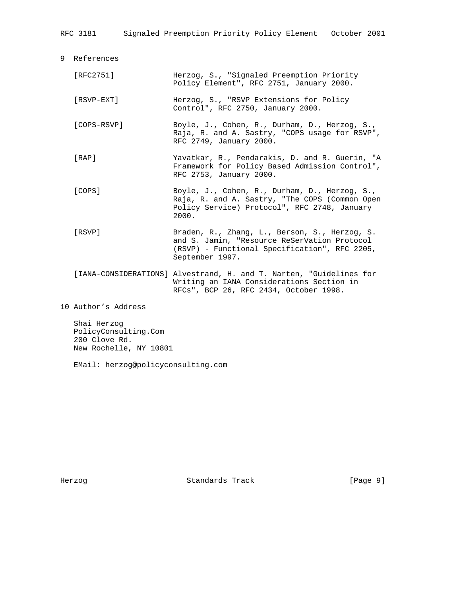RFC 3181 Signaled Preemption Priority Policy Element October 2001

9 References

| [RFC2751]                                                                                                       | Herzog, S., "Signaled Preemption Priority<br>Policy Element", RFC 2751, January 2000.                                                                             |
|-----------------------------------------------------------------------------------------------------------------|-------------------------------------------------------------------------------------------------------------------------------------------------------------------|
| $[RSVP-EXT]$                                                                                                    | Herzog, S., "RSVP Extensions for Policy<br>Control", RFC 2750, January 2000.                                                                                      |
| [COPS-RSVP]                                                                                                     | Boyle, J., Cohen, R., Durham, D., Herzog, S.,<br>Raja, R. and A. Sastry, "COPS usage for RSVP",<br>RFC 2749, January 2000.                                        |
| [RAP]                                                                                                           | Yavatkar, R., Pendarakis, D. and R. Guerin, "A<br>Framework for Policy Based Admission Control",<br>RFC 2753, January 2000.                                       |
| [COPS]                                                                                                          | Boyle, J., Cohen, R., Durham, D., Herzog, S.,<br>Raja, R. and A. Sastry, "The COPS (Common Open<br>Policy Service) Protocol", RFC 2748, January<br>2000.          |
| [RSVP]                                                                                                          | Braden, R., Zhang, L., Berson, S., Herzog, S.<br>and S. Jamin, "Resource ReSerVation Protocol<br>(RSVP) - Functional Specification", RFC 2205,<br>September 1997. |
|                                                                                                                 | [IANA-CONSIDERATIONS] Alvestrand, H. and T. Narten, "Guidelines for<br>Writing an IANA Considerations Section in<br>RFCs", BCP 26, RFC 2434, October 1998.        |
| 10 Author's Address                                                                                             |                                                                                                                                                                   |
| the contract of the contract of the contract of the contract of the contract of the contract of the contract of |                                                                                                                                                                   |

 Shai Herzog PolicyConsulting.Com 200 Clove Rd. New Rochelle, NY 10801

EMail: herzog@policyconsulting.com

 $10$ 

Herzog Standards Track [Page 9]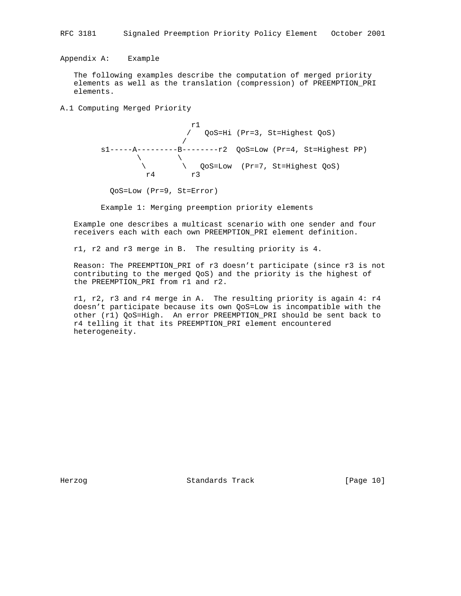Appendix A: Example

 The following examples describe the computation of merged priority elements as well as the translation (compression) of PREEMPTION\_PRI elements.

A.1 Computing Merged Priority

 r1 / QoS=Hi (Pr=3, St=Highest QoS) / s1-----A---------B--------r2 QoS=Low (Pr=4, St=Highest PP)  $\qquad \qquad \setminus$  \ \ QoS=Low (Pr=7, St=Highest QoS) r4 r3

QoS=Low (Pr=9, St=Error)

Example 1: Merging preemption priority elements

 Example one describes a multicast scenario with one sender and four receivers each with each own PREEMPTION\_PRI element definition.

r1, r2 and r3 merge in B. The resulting priority is 4.

 Reason: The PREEMPTION\_PRI of r3 doesn't participate (since r3 is not contributing to the merged QoS) and the priority is the highest of the PREEMPTION\_PRI from r1 and r2.

 r1, r2, r3 and r4 merge in A. The resulting priority is again 4: r4 doesn't participate because its own QoS=Low is incompatible with the other (r1) QoS=High. An error PREEMPTION\_PRI should be sent back to r4 telling it that its PREEMPTION\_PRI element encountered heterogeneity.

Herzog Standards Track [Page 10]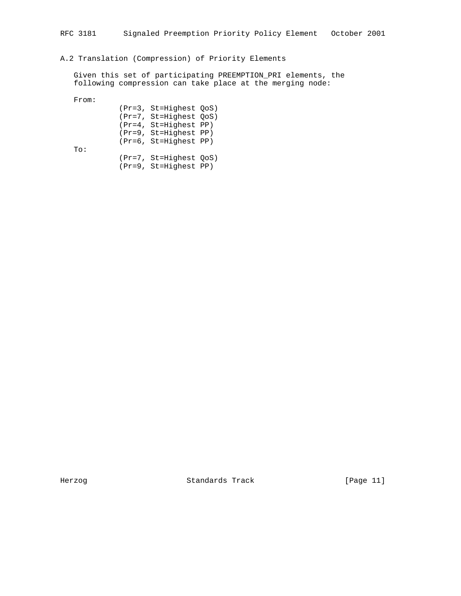# A.2 Translation (Compression) of Priority Elements

 Given this set of participating PREEMPTION\_PRI elements, the following compression can take place at the merging node:

From:

|     | (Pr=3, St=Highest OoS)  |  |
|-----|-------------------------|--|
|     | (Pr=7, St=Highest OoS)  |  |
|     | $(Pr=4, St=Highest PP)$ |  |
|     | (Pr=9, St=Highest PP)   |  |
|     | (Pr=6, St=Highest PP)   |  |
| To: |                         |  |
|     | (Pr=7, St=Highest OoS)  |  |
|     | (Pr=9, St=Highest PP)   |  |

Herzog Standards Track [Page 11]